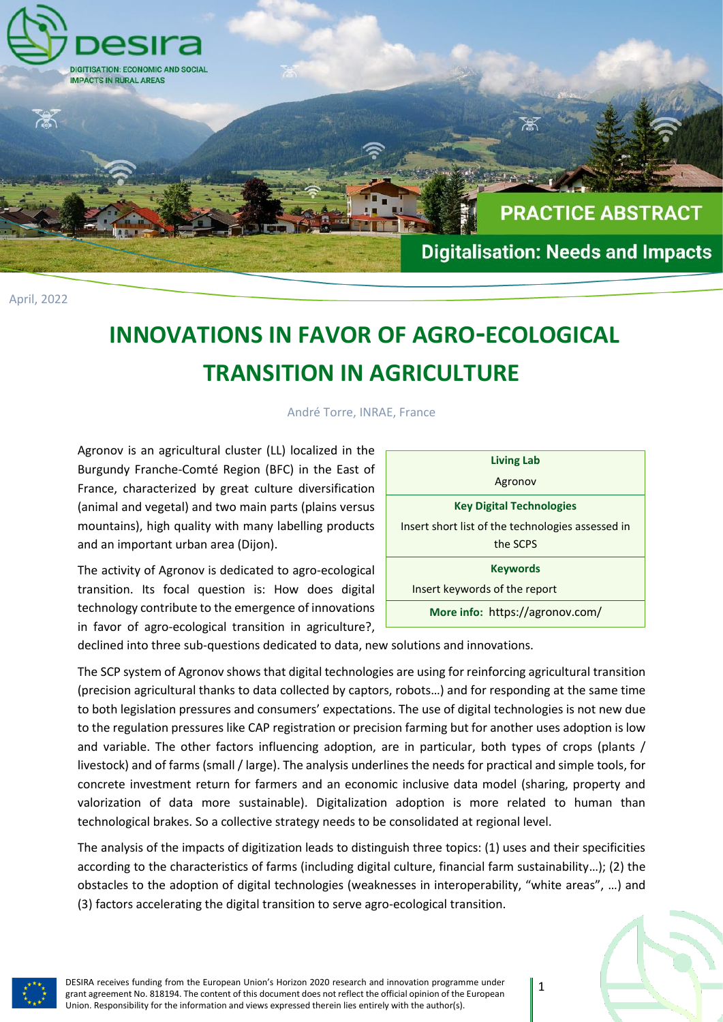

April, 2022

# **INNOVATIONS IN FAVOR OF AGRO-ECOLOGICAL TRANSITION IN AGRICULTURE**

André Torre, INRAE, France

Agronov is an agricultural cluster (LL) localized in the Burgundy Franche-Comté Region (BFC) in the East of France, characterized by great culture diversification (animal and vegetal) and two main parts (plains versus mountains), high quality with many labelling products and an important urban area (Dijon).

The activity of Agronov is dedicated to agro-ecological transition. Its focal question is: How does digital technology contribute to the emergence of innovations in favor of agro-ecological transition in agriculture?,

| <b>Living Lab</b>                                 |  |  |  |  |
|---------------------------------------------------|--|--|--|--|
| Agronov                                           |  |  |  |  |
| <b>Key Digital Technologies</b>                   |  |  |  |  |
| Insert short list of the technologies assessed in |  |  |  |  |
| the SCPS                                          |  |  |  |  |
| <b>Keywords</b>                                   |  |  |  |  |
| Insert keywords of the report                     |  |  |  |  |
| More info: https://agronov.com/                   |  |  |  |  |

declined into three sub-questions dedicated to data, new solutions and innovations.

The SCP system of Agronov shows that digital technologies are using for reinforcing agricultural transition (precision agricultural thanks to data collected by captors, robots…) and for responding at the same time to both legislation pressures and consumers' expectations. The use of digital technologies is not new due to the regulation pressures like CAP registration or precision farming but for another uses adoption is low and variable. The other factors influencing adoption, are in particular, both types of crops (plants / livestock) and of farms (small / large). The analysis underlines the needs for practical and simple tools, for concrete investment return for farmers and an economic inclusive data model (sharing, property and valorization of data more sustainable). Digitalization adoption is more related to human than technological brakes. So a collective strategy needs to be consolidated at regional level.

The analysis of the impacts of digitization leads to distinguish three topics: (1) uses and their specificities according to the characteristics of farms (including digital culture, financial farm sustainability…); (2) the obstacles to the adoption of digital technologies (weaknesses in interoperability, "white areas", …) and (3) factors accelerating the digital transition to serve agro-ecological transition.



DESIRA receives funding from the European Union's Horizon 2020 research and innovation programme under grant agreement No. 818194. The content of this document does not reflect the official opinion of the European Union. Responsibility for the information and views expressed therein lies entirely with the author(s).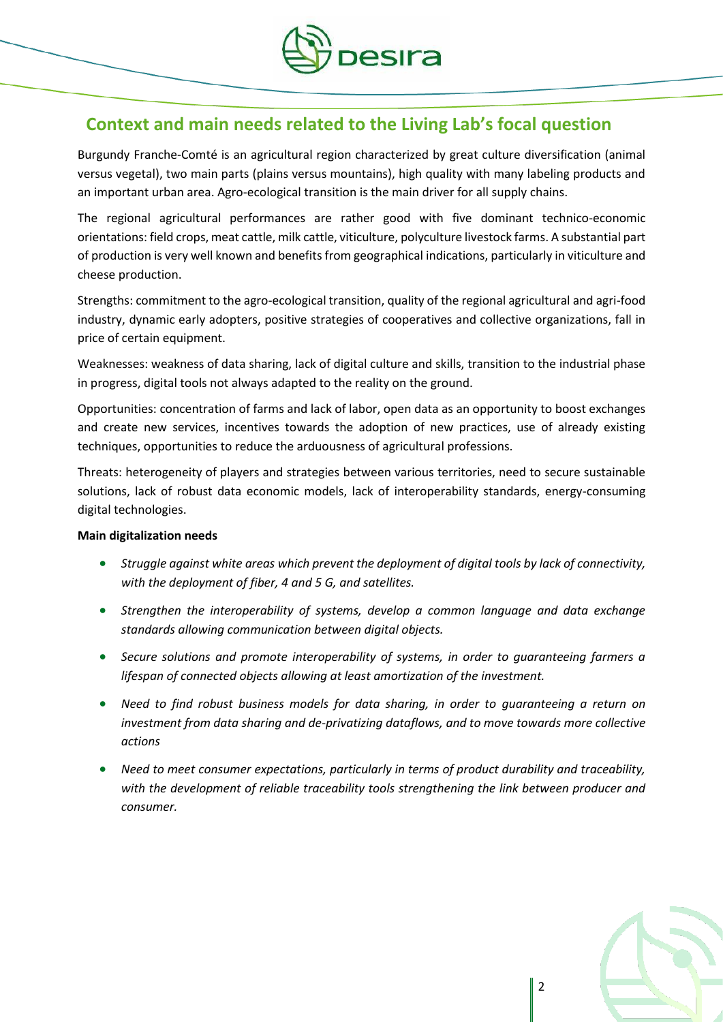

## **Context and main needs related to the Living Lab's focal question**

Burgundy Franche-Comté is an agricultural region characterized by great culture diversification (animal versus vegetal), two main parts (plains versus mountains), high quality with many labeling products and an important urban area. Agro-ecological transition is the main driver for all supply chains.

The regional agricultural performances are rather good with five dominant technico-economic orientations: field crops, meat cattle, milk cattle, viticulture, polyculture livestock farms. A substantial part of production is very well known and benefits from geographical indications, particularly in viticulture and cheese production.

Strengths: commitment to the agro-ecological transition, quality of the regional agricultural and agri-food industry, dynamic early adopters, positive strategies of cooperatives and collective organizations, fall in price of certain equipment.

Weaknesses: weakness of data sharing, lack of digital culture and skills, transition to the industrial phase in progress, digital tools not always adapted to the reality on the ground.

Opportunities: concentration of farms and lack of labor, open data as an opportunity to boost exchanges and create new services, incentives towards the adoption of new practices, use of already existing techniques, opportunities to reduce the arduousness of agricultural professions.

Threats: heterogeneity of players and strategies between various territories, need to secure sustainable solutions, lack of robust data economic models, lack of interoperability standards, energy-consuming digital technologies.

#### **Main digitalization needs**

- *Struggle against white areas which prevent the deployment of digital tools by lack of connectivity, with the deployment of fiber, 4 and 5 G, and satellites.*
- *Strengthen the interoperability of systems, develop a common language and data exchange standards allowing communication between digital objects.*
- *Secure solutions and promote interoperability of systems, in order to guaranteeing farmers a lifespan of connected objects allowing at least amortization of the investment.*
- *Need to find robust business models for data sharing, in order to guaranteeing a return on investment from data sharing and de-privatizing dataflows, and to move towards more collective actions*
- *Need to meet consumer expectations, particularly in terms of product durability and traceability, with the development of reliable traceability tools strengthening the link between producer and consumer.*

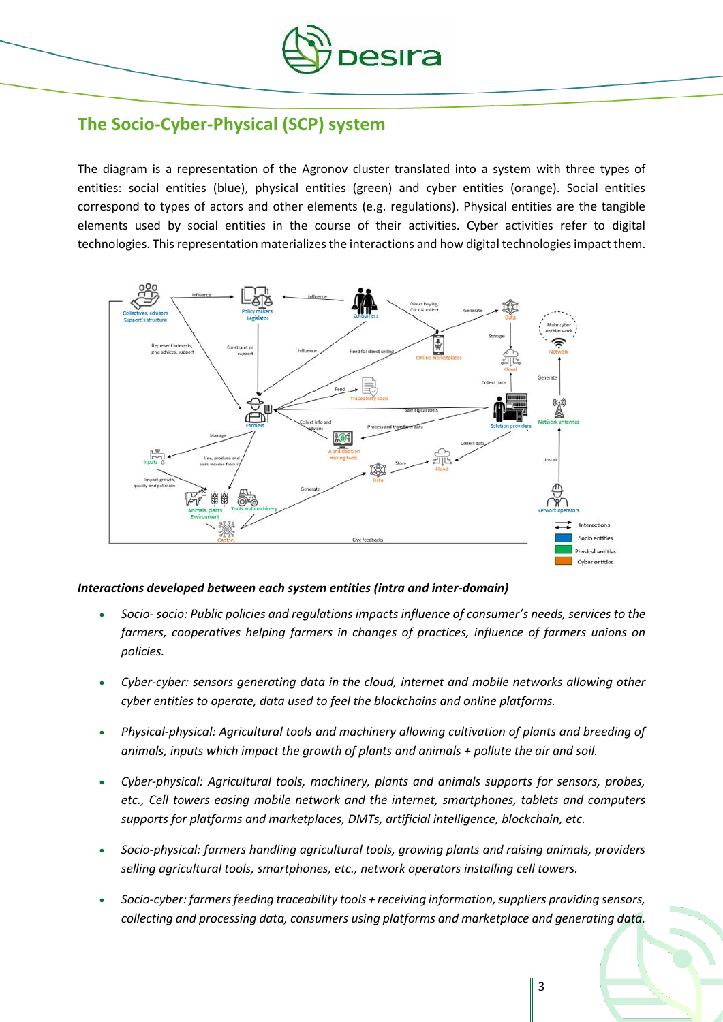

### **The Socio-Cyber-Physical (SCP) system**

The diagram is a representation of the Agronov cluster translated into a system with three types of entities: social entities (blue), physical entities (green) and cyber entities (orange). Social entities correspond to types of actors and other elements (e.g. regulations). Physical entities are the tangible elements used by social entities in the course of their activities. Cyber activities refer to digital technologies. This representation materializes the interactions and how digital technologies impact them.



#### *Interactions developed between each system entities (intra and inter-domain)*

- *Socio- socio: Public policies and regulations impacts influence of consumer's needs, services to the farmers, cooperatives helping farmers in changes of practices, influence of farmers unions on policies.*
- *Cyber-cyber: sensors generating data in the cloud, internet and mobile networks allowing other cyber entities to operate, data used to feel the blockchains and online platforms.*
- *Physical-physical: Agricultural tools and machinery allowing cultivation of plants and breeding of animals, inputs which impact the growth of plants and animals + pollute the air and soil.*
- *Cyber-physical: Agricultural tools, machinery, plants and animals supports for sensors, probes, etc., Cell towers easing mobile network and the internet, smartphones, tablets and computers supports for platforms and marketplaces, DMTs, artificial intelligence, blockchain, etc.*
- *Socio-physical: farmers handling agricultural tools, growing plants and raising animals, providers selling agricultural tools, smartphones, etc., network operators installing cell towers.*
- *Socio-cyber: farmers feeding traceability tools + receiving information, suppliers providing sensors, collecting and processing data, consumers using platforms and marketplace and generating data.*

3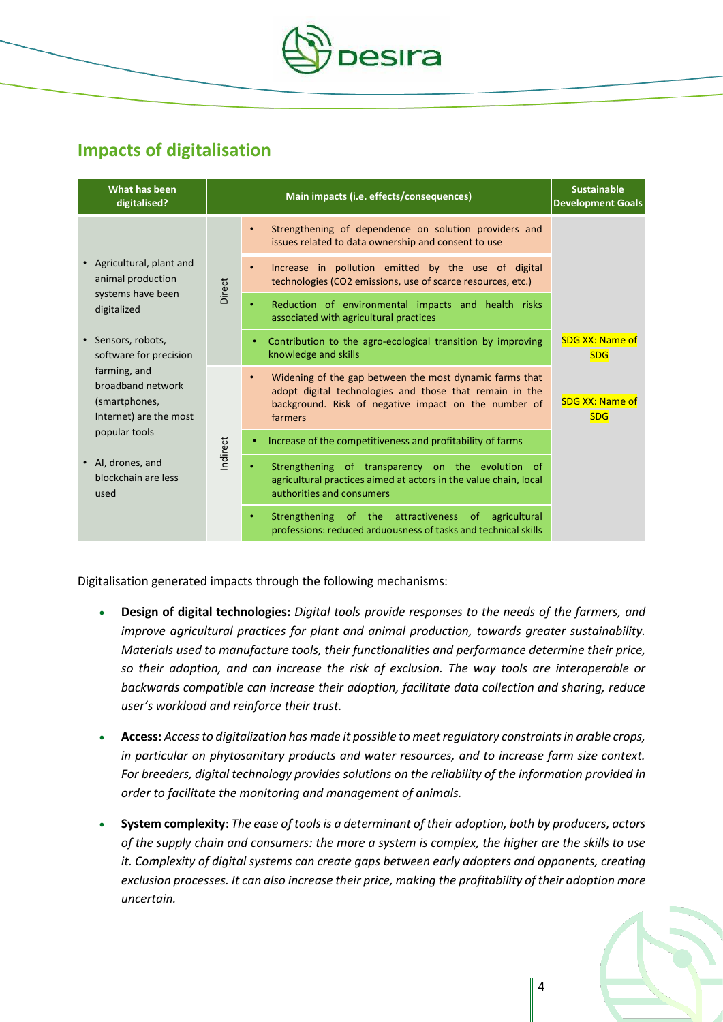

## **Impacts of digitalisation**

| What has been<br>digitalised?                                                                                                                                                                                                                                                         | Main impacts (i.e. effects/consequences) |   |                                                                                                                                                                                       | <b>Sustainable</b><br><b>Development Goals</b> |
|---------------------------------------------------------------------------------------------------------------------------------------------------------------------------------------------------------------------------------------------------------------------------------------|------------------------------------------|---|---------------------------------------------------------------------------------------------------------------------------------------------------------------------------------------|------------------------------------------------|
| • Agricultural, plant and<br>animal production<br>systems have been<br>digitalized<br>Sensors, robots,<br>software for precision<br>farming, and<br>broadband network<br>(smartphones,<br>Internet) are the most<br>popular tools<br>• Al, drones, and<br>blockchain are less<br>used | Direct                                   |   | Strengthening of dependence on solution providers and<br>issues related to data ownership and consent to use                                                                          |                                                |
|                                                                                                                                                                                                                                                                                       |                                          |   | Increase in pollution emitted by the use of digital<br>technologies (CO2 emissions, use of scarce resources, etc.)                                                                    |                                                |
|                                                                                                                                                                                                                                                                                       |                                          | ٠ | Reduction of environmental impacts and health risks<br>associated with agricultural practices                                                                                         |                                                |
|                                                                                                                                                                                                                                                                                       |                                          |   | Contribution to the agro-ecological transition by improving<br>knowledge and skills                                                                                                   | <b>SDG XX: Name of</b><br><b>SDG</b>           |
|                                                                                                                                                                                                                                                                                       | ndirect                                  |   | Widening of the gap between the most dynamic farms that<br>adopt digital technologies and those that remain in the<br>background. Risk of negative impact on the number of<br>farmers | <b>SDG XX: Name of</b><br><b>SDG</b>           |
|                                                                                                                                                                                                                                                                                       |                                          |   | Increase of the competitiveness and profitability of farms                                                                                                                            |                                                |
|                                                                                                                                                                                                                                                                                       |                                          |   | Strengthening of transparency on the evolution of<br>agricultural practices aimed at actors in the value chain, local<br>authorities and consumers                                    |                                                |
|                                                                                                                                                                                                                                                                                       |                                          |   | Strengthening of the attractiveness of agricultural<br>professions: reduced arduousness of tasks and technical skills                                                                 |                                                |

Digitalisation generated impacts through the following mechanisms:

- **Design of digital technologies:** *Digital tools provide responses to the needs of the farmers, and improve agricultural practices for plant and animal production, towards greater sustainability. Materials used to manufacture tools, their functionalities and performance determine their price, so their adoption, and can increase the risk of exclusion. The way tools are interoperable or backwards compatible can increase their adoption, facilitate data collection and sharing, reduce user's workload and reinforce their trust.*
- **Access:** *Access to digitalization has made it possible to meet regulatory constraints in arable crops, in particular on phytosanitary products and water resources, and to increase farm size context. For breeders, digital technology provides solutions on the reliability of the information provided in order to facilitate the monitoring and management of animals.*
- **System complexity**: *The ease of tools is a determinant of their adoption, both by producers, actors of the supply chain and consumers: the more a system is complex, the higher are the skills to use it. Complexity of digital systems can create gaps between early adopters and opponents, creating exclusion processes. It can also increase their price, making the profitability of their adoption more uncertain.*